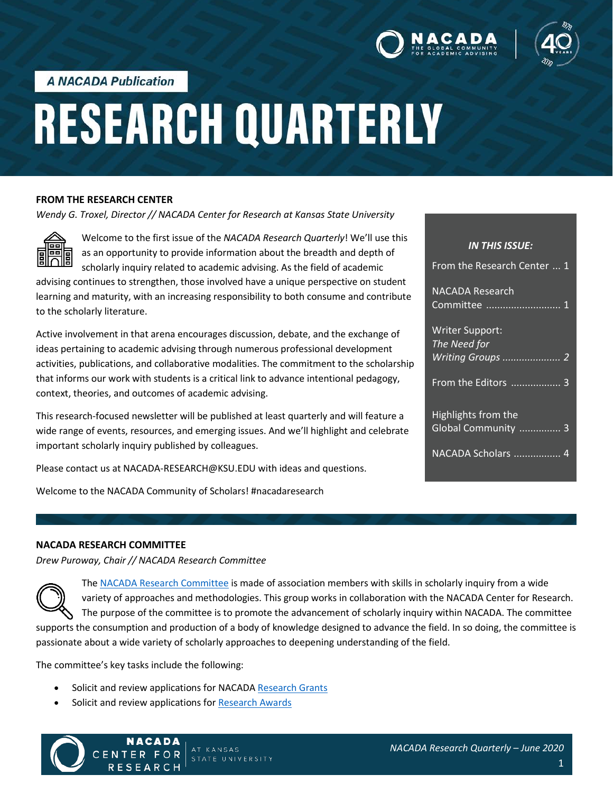



**A NACADA Publication** 

# **RESEARCH QUARTERLY**

#### **FROM THE RESEARCH CENTER**

*Wendy G. Troxel, Director // NACADA Center for Research at Kansas State University*



Welcome to the first issue of the *NACADA Research Quarterly*! We'll use this as an opportunity to provide information about the breadth and depth of scholarly inquiry related to academic advising. As the field of academic

advising continues to strengthen, those involved have a unique perspective on student learning and maturity, with an increasing responsibility to both consume and contribute to the scholarly literature.

Active involvement in that arena encourages discussion, debate, and the exchange of ideas pertaining to academic advising through numerous professional development activities, publications, and collaborative modalities. The commitment to the scholarship that informs our work with students is a critical link to advance intentional pedagogy, context, theories, and outcomes of academic advising.

This research-focused newsletter will be published at least quarterly and will feature a wide range of events, resources, and emerging issues. And we'll highlight and celebrate important scholarly inquiry published by colleagues.

Please contact us at NACADA-RESEARCH@KSU.EDU with ideas and questions.

Welcome to the NACADA Community of Scholars! #nacadaresearch

| <b>IN THIS ISSUE:</b>                      |
|--------------------------------------------|
| <b>From the Research Center  1</b>         |
| NACADA Research<br>Committee <del></del> 1 |
| <b>Writer Support:</b><br>The Need for     |
| Writing Groups  2                          |
| <b>From the Editors </b> 3                 |
| Highlights from the                        |
| Global Community  3                        |
| NACADA Scholars  4                         |

#### **NACADA RESEARCH COMMITTEE**

*Drew Puroway, Chair // NACADA Research Committee*

The [NACADA Research Committee](https://nacada.ksu.edu/About-Us/NACADA-Leadership/Administrative-Division/Research-Committee.aspx) is made of association members with skills in scholarly inquiry from a wide variety of approaches and methodologies. This group works in collaboration with the NACADA Center for Research. The purpose of the committee is to promote the advancement of scholarly inquiry within NACADA. The committee supports the consumption and production of a body of knowledge designed to advance the field. In so doing, the committee is passionate about a wide variety of scholarly approaches to deepening understanding of the field.

The committee's key tasks include the following:

Solicit and review applications for NACAD[A Research Grants](https://nacada.ksu.edu/Resources/Research-Related/ResearchGrant.aspx)

AT KANSAS

STATE UNIVERSITY

• Solicit and review applications for [Research Awards](https://nacada.ksu.edu/Programs/Scholarships.aspx)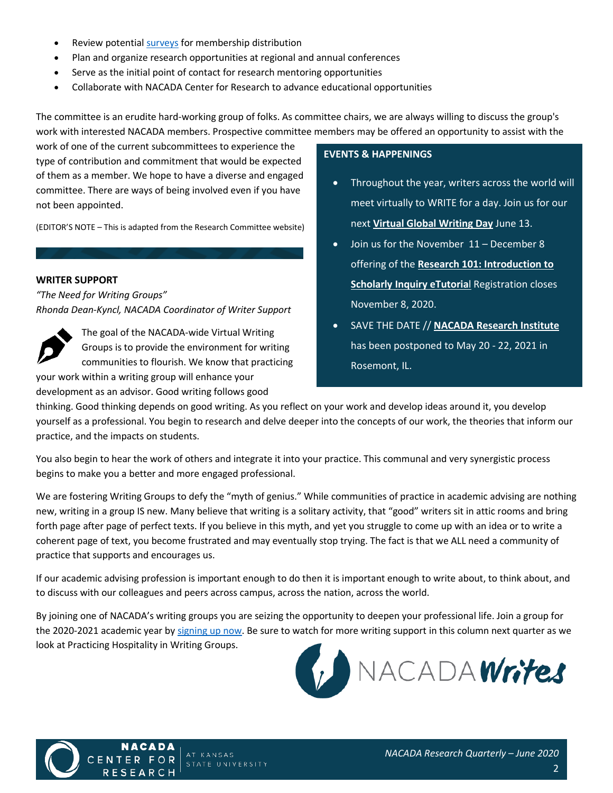- Review potentia[l surveys](https://nacada.ksu.edu/Resources/Research-Related/MemberSurveys.aspx) for membership distribution
- Plan and organize research opportunities at regional and annual conferences
- Serve as the initial point of contact for research mentoring opportunities
- Collaborate with NACADA Center for Research to advance educational opportunities

The committee is an erudite hard-working group of folks. As committee chairs, we are always willing to discuss the group's work with interested NACADA members. Prospective committee members may be offered an opportunity to assist with the

work of one of the current subcommittees to experience the type of contribution and commitment that would be expected of them as a member. We hope to have a diverse and engaged committee. There are ways of being involved even if you have not been appointed.

(EDITOR'S NOTE – This is adapted from the Research Committee website)

# **WRITER SUPPORT**

*"The Need for Writing Groups" Rhonda Dean-Kyncl, NACADA Coordinator of Writer Support*



your work within a writing group will enhance your development as an advisor. Good writing follows good

## **EVENTS & HAPPENINGS**

- Throughout the year, writers across the world will meet virtually to WRITE for a day. Join us for our next **[Virtual Global Writing Day](https://nacada.ksu.edu/Resources/Research-Center/Writer-Support/Global-Writing-Days.aspx)** June 13.
- Join us for the November 11 December 8 offering of the **[Research 101: Introduction to](https://nacada.ksu.edu/Programs/Online-Education/eTutorials/Research-101.aspx)  [Scholarly Inquiry eTutoria](https://nacada.ksu.edu/Programs/Online-Education/eTutorials/Research-101.aspx)**l Registration closes November 8, 2020.
- SAVE THE DATE // **[NACADA Research Institute](https://nacada.ksu.edu/Events/Research-Institute.aspx)** has been postponed to May 20 - 22, 2021 in Rosemont, IL.

thinking. Good thinking depends on good writing. As you reflect on your work and develop ideas around it, you develop yourself as a professional. You begin to research and delve deeper into the concepts of our work, the theories that inform our practice, and the impacts on students.

You also begin to hear the work of others and integrate it into your practice. This communal and very synergistic process begins to make you a better and more engaged professional.

We are fostering Writing Groups to defy the "myth of genius." While communities of practice in academic advising are nothing new, writing in a group IS new. Many believe that writing is a solitary activity, that "good" writers sit in attic rooms and bring forth page after page of perfect texts. If you believe in this myth, and yet you struggle to come up with an idea or to write a coherent page of text, you become frustrated and may eventually stop trying. The fact is that we ALL need a community of practice that supports and encourages us.

If our academic advising profession is important enough to do then it is important enough to write about, to think about, and to discuss with our colleagues and peers across campus, across the nation, across the world.

By joining one of NACADA's writing groups you are seizing the opportunity to deepen your professional life. Join a group for the 2020-2021 academic year b[y signing up now.](https://nacada.ksu.edu/Resources/Research-Center/Writer-Support.aspx) Be sure to watch for more writing support in this column next quarter as we look at Practicing Hospitality in Writing Groups.



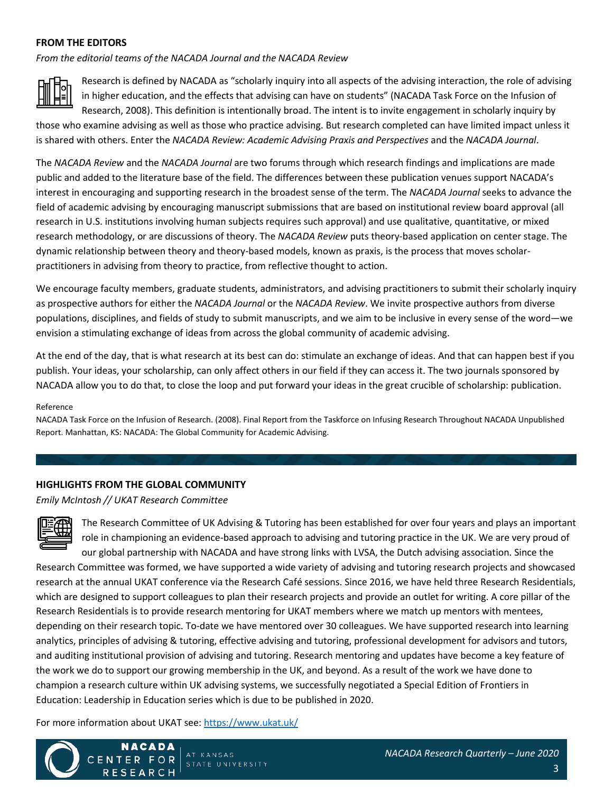# **FROM THE EDITORS**

*From the editorial teams of the NACADA Journal and the NACADA Review*



Research is defined by NACADA as "scholarly inquiry into all aspects of the advising interaction, the role of advising in higher education, and the effects that advising can have on students" (NACADA Task Force on the Infusion of Research, 2008). This definition is intentionally broad. The intent is to invite engagement in scholarly inquiry by

those who examine advising as well as those who practice advising. But research completed can have limited impact unless it is shared with others. Enter the *NACADA Review: Academic Advising Praxis and Perspectives* and the *NACADA Journal*.

The *NACADA Review* and the *NACADA Journal* are two forums through which research findings and implications are made public and added to the literature base of the field. The differences between these publication venues support NACADA's interest in encouraging and supporting research in the broadest sense of the term. The *NACADA Journal* seeks to advance the field of academic advising by encouraging manuscript submissions that are based on institutional review board approval (all research in U.S. institutions involving human subjects requires such approval) and use qualitative, quantitative, or mixed research methodology, or are discussions of theory. The *NACADA Review* puts theory-based application on center stage. The dynamic relationship between theory and theory-based models, known as praxis, is the process that moves scholarpractitioners in advising from theory to practice, from reflective thought to action.

We encourage faculty members, graduate students, administrators, and advising practitioners to submit their scholarly inquiry as prospective authors for either the *NACADA Journal* or the *NACADA Review*. We invite prospective authors from diverse populations, disciplines, and fields of study to submit manuscripts, and we aim to be inclusive in every sense of the word—we envision a stimulating exchange of ideas from across the global community of academic advising.

At the end of the day, that is what research at its best can do: stimulate an exchange of ideas. And that can happen best if you publish. Your ideas, your scholarship, can only affect others in our field if they can access it. The two journals sponsored by NACADA allow you to do that, to close the loop and put forward your ideas in the great crucible of scholarship: publication.

#### Reference

NACADA Task Force on the Infusion of Research. (2008). Final Report from the Taskforce on Infusing Research Throughout NACADA Unpublished Report. Manhattan, KS: NACADA: The Global Community for Academic Advising.

# **HIGHLIGHTS FROM THE GLOBAL COMMUNITY**

*Emily McIntosh // UKAT Research Committee*

The Research Committee of UK Advising & Tutoring has been established for over four years and plays an important role in championing an evidence-based approach to advising and tutoring practice in the UK. We are very proud of our global partnership with NACADA and have strong links with LVSA, the Dutch advising association. Since the Research Committee was formed, we have supported a wide variety of advising and tutoring research projects and showcased research at the annual UKAT conference via the Research Café sessions. Since 2016, we have held three Research Residentials, which are designed to support colleagues to plan their research projects and provide an outlet for writing. A core pillar of the Research Residentials is to provide research mentoring for UKAT members where we match up mentors with mentees, depending on their research topic. To-date we have mentored over 30 colleagues. We have supported research into learning analytics, principles of advising & tutoring, effective advising and tutoring, professional development for advisors and tutors, and auditing institutional provision of advising and tutoring. Research mentoring and updates have become a key feature of the work we do to support our growing membership in the UK, and beyond. As a result of the work we have done to champion a research culture within UK advising systems, we successfully negotiated a Special Edition of Frontiers in Education: Leadership in Education series which is due to be published in 2020.

For more information about UKAT see[: https://www.ukat.uk/](https://www.ukat.uk/)

NACADA



CENT